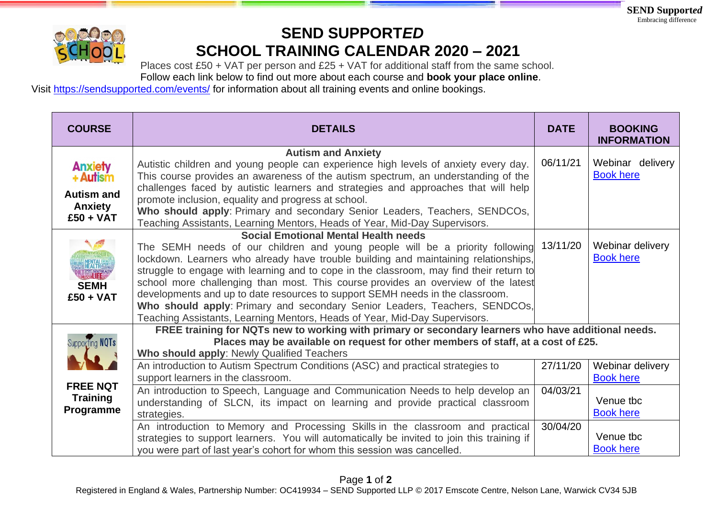

## **SEND SUPPORT***ED*  **SCHOOL TRAINING CALENDAR 2020 – 2021**

Places cost £50 + VAT per person and £25 + VAT for additional staff from the same school.

Follow each link below to find out more about each course and **book your place online**.

Visit <https://sendsupported.com/events/> for information about all training events and online bookings.

| <b>COURSE</b>                                                                    | <b>DETAILS</b>                                                                                                                                                                                                                                                                                                                                                                                                                                                                                                                                                                                                                                  | <b>DATE</b>          | <b>BOOKING</b><br><b>INFORMATION</b>                           |
|----------------------------------------------------------------------------------|-------------------------------------------------------------------------------------------------------------------------------------------------------------------------------------------------------------------------------------------------------------------------------------------------------------------------------------------------------------------------------------------------------------------------------------------------------------------------------------------------------------------------------------------------------------------------------------------------------------------------------------------------|----------------------|----------------------------------------------------------------|
| <b>Anxiety</b><br>+ Autism<br><b>Autism and</b><br><b>Anxiety</b><br>$£50 + VAT$ | <b>Autism and Anxiety</b><br>Autistic children and young people can experience high levels of anxiety every day.<br>This course provides an awareness of the autism spectrum, an understanding of the<br>challenges faced by autistic learners and strategies and approaches that will help<br>promote inclusion, equality and progress at school.<br>Who should apply: Primary and secondary Senior Leaders, Teachers, SENDCOs,<br>Teaching Assistants, Learning Mentors, Heads of Year, Mid-Day Supervisors.                                                                                                                                  | 06/11/21             | Webinar delivery<br><b>Book here</b>                           |
| <b>WENTAL</b><br>TEALTHSPORT<br>MUSCLELLED<br><b>SEMH</b><br>$£50 + VAT$         | <b>Social Emotional Mental Health needs</b><br>The SEMH needs of our children and young people will be a priority following<br>lockdown. Learners who already have trouble building and maintaining relationships,<br>struggle to engage with learning and to cope in the classroom, may find their return to<br>school more challenging than most. This course provides an overview of the latest<br>developments and up to date resources to support SEMH needs in the classroom.<br>Who should apply: Primary and secondary Senior Leaders, Teachers, SENDCOs,<br>Teaching Assistants, Learning Mentors, Heads of Year, Mid-Day Supervisors. | 13/11/20             | Webinar delivery<br><b>Book here</b>                           |
| Supporting NQTs                                                                  | FREE training for NQTs new to working with primary or secondary learners who have additional needs.<br>Places may be available on request for other members of staff, at a cost of £25.<br>Who should apply: Newly Qualified Teachers<br>An introduction to Autism Spectrum Conditions (ASC) and practical strategies to<br>support learners in the classroom.                                                                                                                                                                                                                                                                                  | 27/11/20             | Webinar delivery<br><b>Book here</b>                           |
| <b>FREE NQT</b><br><b>Training</b><br>Programme                                  | An introduction to Speech, Language and Communication Needs to help develop an<br>understanding of SLCN, its impact on learning and provide practical classroom<br>strategies.<br>An introduction to Memory and Processing Skills in the classroom and practical<br>strategies to support learners. You will automatically be invited to join this training if<br>you were part of last year's cohort for whom this session was cancelled.                                                                                                                                                                                                      | 04/03/21<br>30/04/20 | Venue tbc<br><b>Book here</b><br>Venue tbc<br><b>Book here</b> |